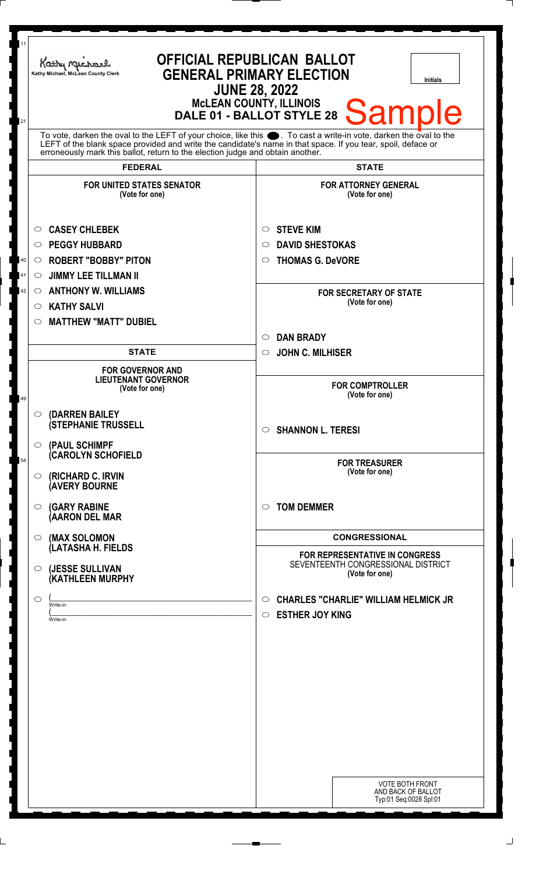| 11 | Kathy Michael<br>Kathy Michael, McLean County Clerk                                                                                                                                                                              | <b>OFFICIAL REPUBLICAN BALLOT</b><br><b>GENERAL PRIMARY ELECTION</b><br><b>Initials</b><br><b>JUNE 28, 2022</b><br><b>McLEAN COUNTY, ILLINOIS</b> |
|----|----------------------------------------------------------------------------------------------------------------------------------------------------------------------------------------------------------------------------------|---------------------------------------------------------------------------------------------------------------------------------------------------|
| 21 | To vote, darken the oval to the LEFT of your choice, like this . To cast a write-in vote, darken the oval to the<br>LEFT of the blank space provided and write the candidate's name in that space. If you tear, spoil, deface or | <b>Sample</b><br>DALE 01 - BALLOT STYLE 28                                                                                                        |
|    | erroneously mark this ballot, return to the election judge and obtain another.                                                                                                                                                   |                                                                                                                                                   |
|    | <b>FEDERAL</b>                                                                                                                                                                                                                   | <b>STATE</b>                                                                                                                                      |
|    | <b>FOR UNITED STATES SENATOR</b><br>(Vote for one)                                                                                                                                                                               | <b>FOR ATTORNEY GENERAL</b><br>(Vote for one)                                                                                                     |
|    | <b>CASEY CHLEBEK</b><br>$\circ$                                                                                                                                                                                                  | <b>STEVE KIM</b><br>$\circ$                                                                                                                       |
|    | <b>PEGGY HUBBARD</b><br>$\circ$                                                                                                                                                                                                  | <b>DAVID SHESTOKAS</b><br>$\circ$                                                                                                                 |
| 40 | <b>ROBERT "BOBBY" PITON</b><br>$\circ$                                                                                                                                                                                           | <b>THOMAS G. DeVORE</b><br>$\circ$                                                                                                                |
| 41 | <b>JIMMY LEE TILLMAN II</b><br>O                                                                                                                                                                                                 |                                                                                                                                                   |
| 42 | <b>ANTHONY W. WILLIAMS</b><br>$\circ$                                                                                                                                                                                            | <b>FOR SECRETARY OF STATE</b><br>(Vote for one)                                                                                                   |
|    | <b>KATHY SALVI</b><br>O                                                                                                                                                                                                          |                                                                                                                                                   |
|    | <b>MATTHEW "MATT" DUBIEL</b><br>$\circlearrowright$                                                                                                                                                                              | <b>DAN BRADY</b><br>$\circ$                                                                                                                       |
|    | <b>STATE</b>                                                                                                                                                                                                                     | <b>JOHN C. MILHISER</b><br>$\circ$                                                                                                                |
|    | <b>FOR GOVERNOR AND</b>                                                                                                                                                                                                          |                                                                                                                                                   |
| 49 | <b>LIEUTENANT GOVERNOR</b><br>(Vote for one)                                                                                                                                                                                     | <b>FOR COMPTROLLER</b><br>(Vote for one)                                                                                                          |
|    | <b>(DARREN BAILEY</b><br>$\circ$<br><b>(STEPHANIE TRUSSELL</b>                                                                                                                                                                   | <b>SHANNON L. TERESI</b><br>$\circ$                                                                                                               |
| 54 | (PAUL SCHIMPF<br>$\circ$<br>(CAROLYN SCHOFIELD                                                                                                                                                                                   | <b>FOR TREASURER</b><br>(Vote for one)                                                                                                            |
|    | (RICHARD C. IRVIN<br>○<br><b>AVERY BOURNE</b>                                                                                                                                                                                    |                                                                                                                                                   |
|    | <b>(GARY RABINE</b><br>O<br>(AARON DEL MAR                                                                                                                                                                                       | <b>TOM DEMMER</b><br>$\circ$                                                                                                                      |
|    | (MAX SOLOMON<br>O<br>(LATASHA H. FIELDS                                                                                                                                                                                          | <b>CONGRESSIONAL</b>                                                                                                                              |
|    | (JESSE SULLIVAN<br>O<br>(KATHLEEN MURPHY                                                                                                                                                                                         | <b>FOR REPRESENTATIVE IN CONGRESS</b><br>SEVENTEENTH CONGRESSIONAL DISTRICT<br>(Vote for one)                                                     |
|    | O<br>Write-in<br>Write-in                                                                                                                                                                                                        | <b>CHARLES "CHARLIE" WILLIAM HELMICK JR</b><br>$\circ$<br><b>ESTHER JOY KING</b><br>$\circ$                                                       |
|    |                                                                                                                                                                                                                                  | <b>VOTE BOTH FRONT</b><br>AND BACK OF BALLOT<br>Typ:01 Seq:0028 Spl:01                                                                            |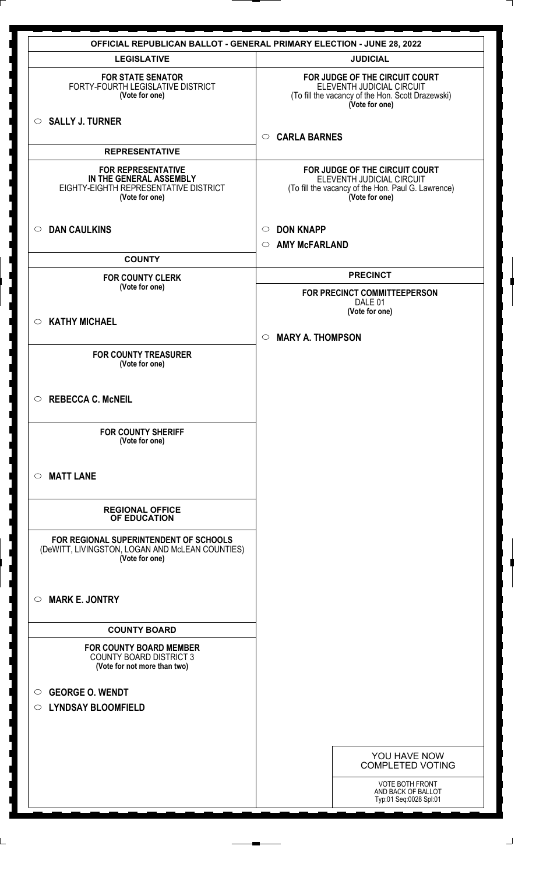| <b>OFFICIAL REPUBLICAN BALLOT - GENERAL PRIMARY ELECTION - JUNE 28, 2022</b><br><b>LEGISLATIVE</b>              | <b>JUDICIAL</b>                                                                                                                     |
|-----------------------------------------------------------------------------------------------------------------|-------------------------------------------------------------------------------------------------------------------------------------|
| <b>FOR STATE SENATOR</b>                                                                                        | FOR JUDGE OF THE CIRCUIT COURT                                                                                                      |
| FORTY-FOURTH LEGISLATIVE DISTRICT<br>(Vote for one)                                                             | ELEVENTH JUDICIAL CIRCUIT<br>(To fill the vacancy of the Hon. Scott Drazewski)<br>(Vote for one)                                    |
| $\circ$ SALLY J. TURNER                                                                                         |                                                                                                                                     |
| <b>REPRESENTATIVE</b>                                                                                           | <b>CARLA BARNES</b><br>$\circ$                                                                                                      |
| <b>FOR REPRESENTATIVE</b><br>IN THE GENERAL ASSEMBLY<br>EIGHTY-EIGHTH REPRESENTATIVE DISTRICT<br>(Vote for one) | FOR JUDGE OF THE CIRCUIT COURT<br>ELEVENTH JUDICIAL CIRCUIT<br>(To fill the vacancy of the Hon. Paul G. Lawrence)<br>(Vote for one) |
| <b>DAN CAULKINS</b><br>$\circ$                                                                                  | <b>DON KNAPP</b><br>$\circ$                                                                                                         |
| <b>COUNTY</b>                                                                                                   | <b>AMY McFARLAND</b><br>$\circ$                                                                                                     |
|                                                                                                                 | <b>PRECINCT</b>                                                                                                                     |
| <b>FOR COUNTY CLERK</b><br>(Vote for one)                                                                       | FOR PRECINCT COMMITTEEPERSON                                                                                                        |
|                                                                                                                 | DALE 01<br>(Vote for one)                                                                                                           |
| <b>KATHY MICHAEL</b><br>$\circ$                                                                                 | <b>MARY A. THOMPSON</b><br>$\circ$                                                                                                  |
| <b>FOR COUNTY TREASURER</b><br>(Vote for one)                                                                   |                                                                                                                                     |
| <b>REBECCA C. McNEIL</b><br>$\circ$                                                                             |                                                                                                                                     |
| <b>FOR COUNTY SHERIFF</b><br>(Vote for one)                                                                     |                                                                                                                                     |
| <b>MATT LANE</b><br>$\circ$                                                                                     |                                                                                                                                     |
| <b>REGIONAL OFFICE</b><br>OF EDUCATION                                                                          |                                                                                                                                     |
| FOR REGIONAL SUPERINTENDENT OF SCHOOLS<br>(DeWITT, LIVINGSTON, LOGAN AND McLEAN COUNTIES)<br>(Vote for one)     |                                                                                                                                     |
| <b>MARK E. JONTRY</b><br>$\circ$                                                                                |                                                                                                                                     |
| <b>COUNTY BOARD</b>                                                                                             |                                                                                                                                     |
| <b>FOR COUNTY BOARD MEMBER</b><br><b>COUNTY BOARD DISTRICT 3</b><br>(Vote for not more than two)                |                                                                                                                                     |
| <b>GEORGE O. WENDT</b><br>$\circ$                                                                               |                                                                                                                                     |
| <b>LYNDSAY BLOOMFIELD</b><br>$\circ$                                                                            |                                                                                                                                     |
|                                                                                                                 |                                                                                                                                     |
|                                                                                                                 | YOU HAVE NOW<br><b>COMPLETED VOTING</b>                                                                                             |
|                                                                                                                 | <b>VOTE BOTH FRONT</b><br>AND BACK OF BALLOT<br>Typ:01 Seq:0028 Spl:01                                                              |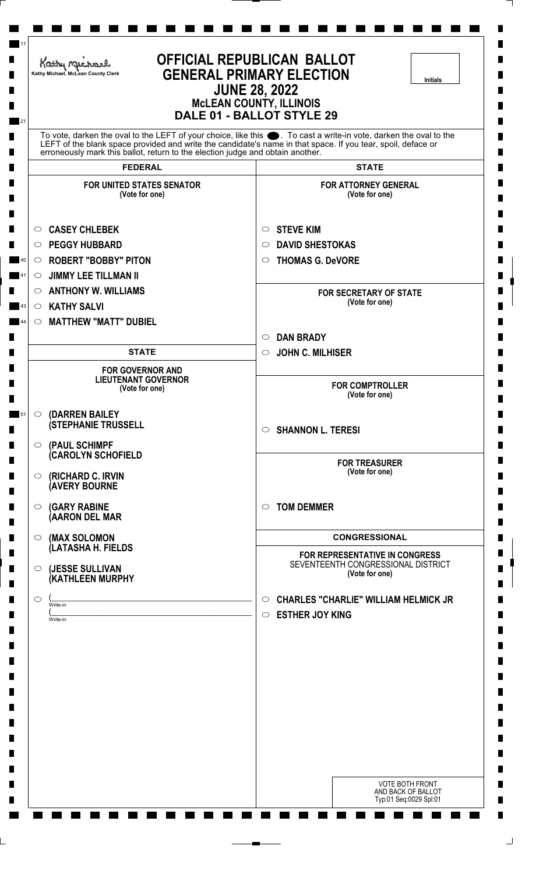| Kathy Michael<br>Kathy Michael, McLean County Clerk                            | <b>OFFICIAL REPUBLICAN BALLOT</b><br><b>GENERAL PRIMARY ELECTION</b><br><b>Initials</b><br><b>JUNE 28, 2022</b><br><b>McLEAN COUNTY, ILLINOIS</b><br>DALE 01 - BALLOT STYLE 29                                                    |
|--------------------------------------------------------------------------------|-----------------------------------------------------------------------------------------------------------------------------------------------------------------------------------------------------------------------------------|
| erroneously mark this ballot, return to the election judge and obtain another. | To vote, darken the oval to the LEFT of your choice, like this ●. To cast a write-in vote, darken the oval to the<br>LEFT of the blank space provided and write the candidate's name in that space. If you tear, spoil, deface or |
| <b>FEDERAL</b>                                                                 | <b>STATE</b>                                                                                                                                                                                                                      |
| <b>FOR UNITED STATES SENATOR</b><br>(Vote for one)                             | <b>FOR ATTORNEY GENERAL</b><br>(Vote for one)                                                                                                                                                                                     |
| <b>CASEY CHLEBEK</b><br>$\circ$                                                | <b>STEVE KIM</b><br>$\circ$                                                                                                                                                                                                       |
| <b>PEGGY HUBBARD</b><br>$\circ$                                                | <b>DAVID SHESTOKAS</b><br>$\circ$                                                                                                                                                                                                 |
| <b>ROBERT "BOBBY" PITON</b><br>O                                               | <b>THOMAS G. DeVORE</b><br>$\circ$                                                                                                                                                                                                |
| <b>JIMMY LEE TILLMAN II</b><br>$\circ$                                         |                                                                                                                                                                                                                                   |
| <b>ANTHONY W. WILLIAMS</b><br>$\circ$                                          | <b>FOR SECRETARY OF STATE</b>                                                                                                                                                                                                     |
| <b>KATHY SALVI</b><br>$\circ$                                                  | (Vote for one)                                                                                                                                                                                                                    |
| <b>MATTHEW "MATT" DUBIEL</b><br>$\circ$                                        |                                                                                                                                                                                                                                   |
|                                                                                | <b>DAN BRADY</b><br>$\circ$                                                                                                                                                                                                       |
| <b>STATE</b>                                                                   | <b>JOHN C. MILHISER</b><br>$\circ$                                                                                                                                                                                                |
| <b>FOR GOVERNOR AND</b><br><b>LIEUTENANT GOVERNOR</b><br>(Vote for one)        | <b>FOR COMPTROLLER</b><br>(Vote for one)                                                                                                                                                                                          |
| (DARREN BAILEY<br>$\circ$                                                      |                                                                                                                                                                                                                                   |
| <b>(STEPHANIE TRUSSELL</b>                                                     | <b>SHANNON L. TERESI</b><br>$\circ$                                                                                                                                                                                               |
| (PAUL SCHIMPF<br>$\circ$<br><b>(CAROLYN SCHOFIELD</b>                          |                                                                                                                                                                                                                                   |
| (RICHARD C. IRVIN<br>$\circ$<br><b>(AVERY BOURNE</b>                           | <b>FOR TREASURER</b><br>(Vote for one)                                                                                                                                                                                            |
| <b>(GARY RABINE</b><br>$\circ$<br>(AARON DEL MAR                               | <b>TOM DEMMER</b><br>$\circ$                                                                                                                                                                                                      |
| (MAX SOLOMON<br>$\circ$                                                        | <b>CONGRESSIONAL</b>                                                                                                                                                                                                              |
| (LATASHA H. FIELDS                                                             | FOR REPRESENTATIVE IN CONGRESS                                                                                                                                                                                                    |
| (JESSE SULLIVAN<br>$\circ$<br>(KATHLEEN MURPHY                                 | SEVENTEENTH CONGRESSIONAL DISTRICT<br>(Vote for one)                                                                                                                                                                              |
| $\circ$<br>Write-in                                                            | <b>CHARLES "CHARLIE" WILLIAM HELMICK JR</b><br>$\circ$                                                                                                                                                                            |
| Write-in                                                                       | <b>ESTHER JOY KING</b><br>$\circ$                                                                                                                                                                                                 |
|                                                                                |                                                                                                                                                                                                                                   |
|                                                                                |                                                                                                                                                                                                                                   |
|                                                                                |                                                                                                                                                                                                                                   |
|                                                                                | VOTE BOTH FRONT                                                                                                                                                                                                                   |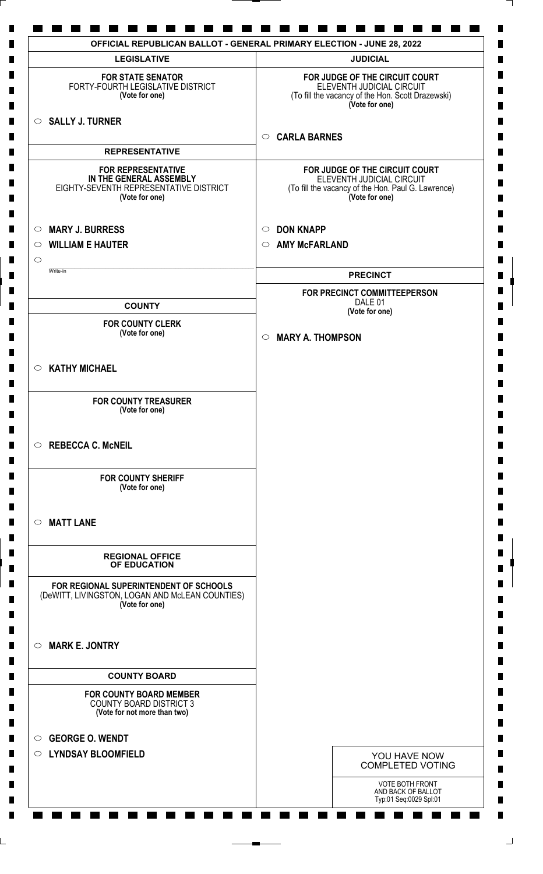| <b>LEGISLATIVE</b>                                                                                               | <b>JUDICIAL</b>                                                                                                                     |
|------------------------------------------------------------------------------------------------------------------|-------------------------------------------------------------------------------------------------------------------------------------|
| <b>FOR STATE SENATOR</b><br>FORTY-FOURTH LEGISLATIVE DISTRICT<br>(Vote for one)                                  | FOR JUDGE OF THE CIRCUIT COURT<br>ELEVENTH JUDICIAL CIRCUIT<br>(To fill the vacancy of the Hon. Scott Drazewski)<br>(Vote for one)  |
| $\circ$ SALLY J. TURNER                                                                                          | <b>CARLA BARNES</b><br>$\circ$                                                                                                      |
| <b>REPRESENTATIVE</b>                                                                                            |                                                                                                                                     |
|                                                                                                                  |                                                                                                                                     |
| <b>FOR REPRESENTATIVE</b><br>IN THE GENERAL ASSEMBLY<br>EIGHTY-SEVENTH REPRESENTATIVE DISTRICT<br>(Vote for one) | FOR JUDGE OF THE CIRCUIT COURT<br>ELEVENTH JUDICIAL CIRCUIT<br>(To fill the vacancy of the Hon. Paul G. Lawrence)<br>(Vote for one) |
| <b>MARY J. BURRESS</b><br>$\circ$                                                                                | <b>DON KNAPP</b><br>$\circ$                                                                                                         |
| <b>WILLIAM E HAUTER</b><br>$\circ$                                                                               | <b>AMY McFARLAND</b><br>$\circ$                                                                                                     |
| $\bigcirc$                                                                                                       |                                                                                                                                     |
| Write-in                                                                                                         | <b>PRECINCT</b>                                                                                                                     |
|                                                                                                                  | FOR PRECINCT COMMITTEEPERSON<br>DALE 01                                                                                             |
| <b>COUNTY</b>                                                                                                    | (Vote for one)                                                                                                                      |
| <b>FOR COUNTY CLERK</b><br>(Vote for one)                                                                        | <b>MARY A. THOMPSON</b><br>$\circ$                                                                                                  |
| $\circ$ KATHY MICHAEL                                                                                            |                                                                                                                                     |
| <b>FOR COUNTY TREASURER</b><br>(Vote for one)                                                                    |                                                                                                                                     |
| $\circ$ REBECCA C. McNEIL                                                                                        |                                                                                                                                     |
| <b>FOR COUNTY SHERIFF</b><br>(Vote for one)                                                                      |                                                                                                                                     |
| <b>MATT LANE</b><br>$\circ$                                                                                      |                                                                                                                                     |
| <b>REGIONAL OFFICE</b><br>OF EDUCATION                                                                           |                                                                                                                                     |
| FOR REGIONAL SUPERINTENDENT OF SCHOOLS<br>(DeWITT, LIVINGSTON, LOGAN AND McLEAN COUNTIES)<br>(Vote for one)      |                                                                                                                                     |
| <b>MARK E. JONTRY</b><br>$\circ$                                                                                 |                                                                                                                                     |
| <b>COUNTY BOARD</b>                                                                                              |                                                                                                                                     |
| <b>FOR COUNTY BOARD MEMBER</b>                                                                                   |                                                                                                                                     |
| <b>COUNTY BOARD DISTRICT 3</b><br>(Vote for not more than two)                                                   |                                                                                                                                     |
| <b>GEORGE O. WENDT</b><br>$\circ$                                                                                |                                                                                                                                     |
| <b>LYNDSAY BLOOMFIELD</b><br>$\circ$                                                                             | YOU HAVE NOW                                                                                                                        |
|                                                                                                                  | <b>COMPLETED VOTING</b>                                                                                                             |
|                                                                                                                  | VOTE BOTH FRONT                                                                                                                     |
|                                                                                                                  | AND BACK OF BALLOT<br>Typ:01 Seq:0029 Spl:01                                                                                        |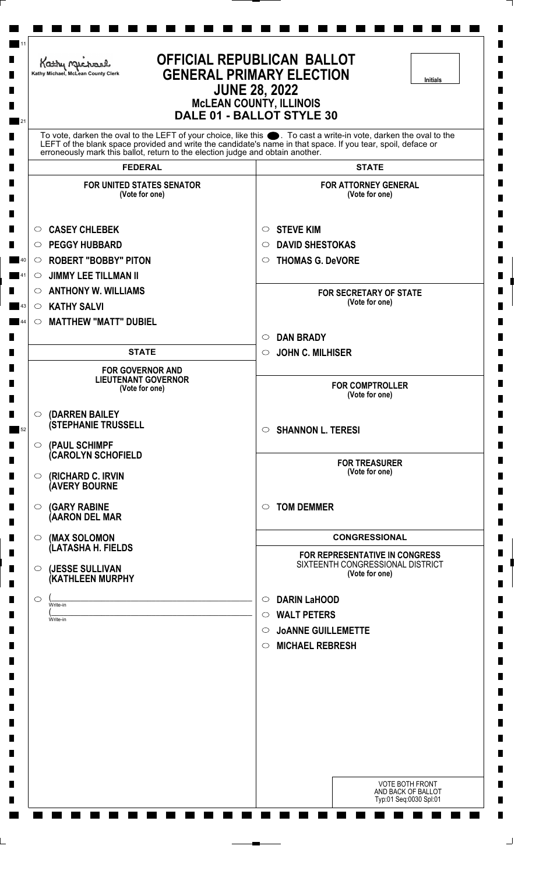| Kathy Michael<br>Kathy Michael, McLean County Clerk                            | <b>OFFICIAL REPUBLICAN BALLOT</b><br><b>GENERAL PRIMARY ELECTION</b><br><b>Initials</b><br><b>JUNE 28, 2022</b><br><b>MCLEAN COUNTY, ILLINOIS</b><br>DALE 01 - BALLOT STYLE 30                                                    |
|--------------------------------------------------------------------------------|-----------------------------------------------------------------------------------------------------------------------------------------------------------------------------------------------------------------------------------|
| erroneously mark this ballot, return to the election judge and obtain another. | To vote, darken the oval to the LEFT of your choice, like this ●. To cast a write-in vote, darken the oval to the<br>LEFT of the blank space provided and write the candidate's name in that space. If you tear, spoil, deface or |
| <b>FEDERAL</b>                                                                 | <b>STATE</b>                                                                                                                                                                                                                      |
| <b>FOR UNITED STATES SENATOR</b><br>(Vote for one)                             | <b>FOR ATTORNEY GENERAL</b><br>(Vote for one)                                                                                                                                                                                     |
| <b>CASEY CHLEBEK</b><br>$\circ$<br><b>PEGGY HUBBARD</b><br>$\circ$             | <b>STEVE KIM</b><br>$\circ$<br><b>DAVID SHESTOKAS</b><br>$\circ$                                                                                                                                                                  |
| <b>ROBERT "BOBBY" PITON</b><br>$\circ$                                         | <b>THOMAS G. DeVORE</b><br>$\circ$                                                                                                                                                                                                |
| <b>JIMMY LEE TILLMAN II</b><br>$\circ$                                         |                                                                                                                                                                                                                                   |
| <b>ANTHONY W. WILLIAMS</b><br>$\circ$                                          | <b>FOR SECRETARY OF STATE</b><br>(Vote for one)                                                                                                                                                                                   |
| <b>KATHY SALVI</b><br>$\circ$                                                  |                                                                                                                                                                                                                                   |
| <b>MATTHEW "MATT" DUBIEL</b><br>$\circ$                                        | <b>DAN BRADY</b><br>$\circ$                                                                                                                                                                                                       |
| <b>STATE</b>                                                                   | <b>JOHN C. MILHISER</b><br>$\circ$                                                                                                                                                                                                |
| <b>FOR GOVERNOR AND</b><br><b>LIEUTENANT GOVERNOR</b>                          |                                                                                                                                                                                                                                   |
| (Vote for one)                                                                 | <b>FOR COMPTROLLER</b><br>(Vote for one)                                                                                                                                                                                          |
| (DARREN BAILEY<br>$\circ$<br><b>(STEPHANIE TRUSSELL</b><br>$\circ$             | <b>SHANNON L. TERESI</b><br>$\circ$                                                                                                                                                                                               |
| (PAUL SCHIMPF<br><b>CAROLYN SCHOFIELD</b><br>(RICHARD C. IRVIN<br>$\circ$      | <b>FOR TREASURER</b><br>(Vote for one)                                                                                                                                                                                            |
| <b>(AVERY BOURNE</b>                                                           |                                                                                                                                                                                                                                   |
| <b>(GARY RABINE</b><br>$\circ$<br>(AARON DEL MAR                               | <b>TOM DEMMER</b><br>$\circ$                                                                                                                                                                                                      |
| (MAX SOLOMON<br>$\circ$                                                        | <b>CONGRESSIONAL</b>                                                                                                                                                                                                              |
| (LATASHA H. FIELDS                                                             | FOR REPRESENTATIVE IN CONGRESS                                                                                                                                                                                                    |
| (JESSE SULLIVAN<br>$\circ$<br>(KATHLEEN MURPHY                                 | SIXTEENTH CONGRESSIONAL DISTRICT<br>(Vote for one)                                                                                                                                                                                |
| $\circ$<br>Write-in                                                            | <b>DARIN LaHOOD</b><br>$\circ$                                                                                                                                                                                                    |
| Write-in                                                                       | <b>WALT PETERS</b><br>$\circ$                                                                                                                                                                                                     |
|                                                                                | <b>JOANNE GUILLEMETTE</b><br>$\circ$                                                                                                                                                                                              |
|                                                                                | <b>MICHAEL REBRESH</b><br>$\circ$                                                                                                                                                                                                 |
|                                                                                |                                                                                                                                                                                                                                   |
|                                                                                |                                                                                                                                                                                                                                   |
|                                                                                |                                                                                                                                                                                                                                   |
|                                                                                |                                                                                                                                                                                                                                   |
|                                                                                |                                                                                                                                                                                                                                   |
|                                                                                |                                                                                                                                                                                                                                   |
|                                                                                | <b>VOTE BOTH FRONT</b><br>AND BACK OF BALLOT                                                                                                                                                                                      |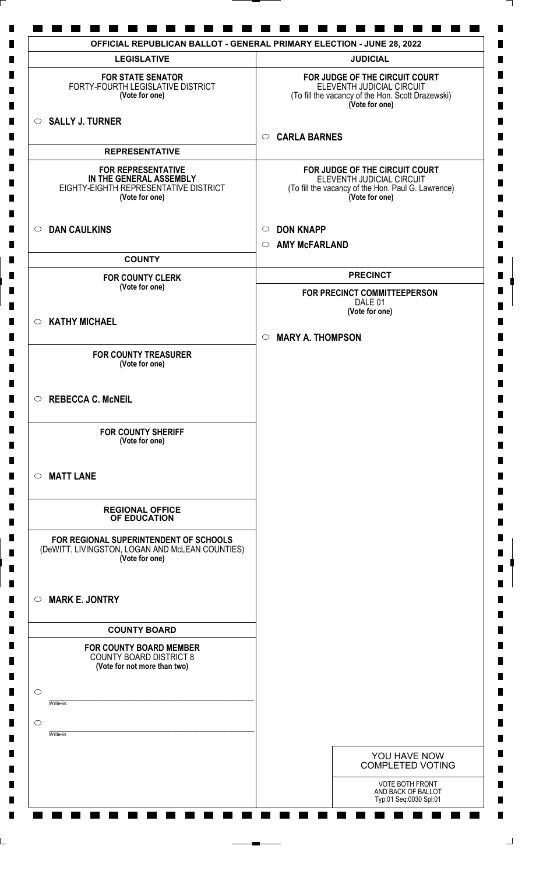| <b>LEGISLATIVE</b>                                                                                              | <b>JUDICIAL</b>                                                                                                                     |
|-----------------------------------------------------------------------------------------------------------------|-------------------------------------------------------------------------------------------------------------------------------------|
| <b>FOR STATE SENATOR</b><br>FORTY-FOURTH LEGISLATIVE DISTRICT<br>(Vote for one)                                 | FOR JUDGE OF THE CIRCUIT COURT<br>ELEVENTH JUDICIAL CIRCUIT<br>(To fill the vacancy of the Hon. Scott Drazewski)<br>(Vote for one)  |
| $\circ$ SALLY J. TURNER                                                                                         |                                                                                                                                     |
| <b>REPRESENTATIVE</b>                                                                                           | <b>CARLA BARNES</b><br>$\circ$                                                                                                      |
| <b>FOR REPRESENTATIVE</b><br>IN THE GENERAL ASSEMBLY<br>EIGHTY-EIGHTH REPRESENTATIVE DISTRICT<br>(Vote for one) | FOR JUDGE OF THE CIRCUIT COURT<br>ELEVENTH JUDICIAL CIRCUIT<br>(To fill the vacancy of the Hon. Paul G. Lawrence)<br>(Vote for one) |
| <b>DAN CAULKINS</b><br>$\circ$                                                                                  | <b>DON KNAPP</b><br>$\circ$<br>$\circ$                                                                                              |
| <b>COUNTY</b>                                                                                                   | <b>AMY McFARLAND</b>                                                                                                                |
| <b>FOR COUNTY CLERK</b>                                                                                         | <b>PRECINCT</b>                                                                                                                     |
| (Vote for one)                                                                                                  | FOR PRECINCT COMMITTEEPERSON<br>DALE 01                                                                                             |
| <b>KATHY MICHAEL</b><br>$\circ$                                                                                 | (Vote for one)                                                                                                                      |
|                                                                                                                 | <b>MARY A. THOMPSON</b><br>$\circ$                                                                                                  |
| <b>FOR COUNTY TREASURER</b><br>(Vote for one)                                                                   |                                                                                                                                     |
| $\circ$ REBECCA C. McNEIL                                                                                       |                                                                                                                                     |
| <b>FOR COUNTY SHERIFF</b><br>(Vote for one)                                                                     |                                                                                                                                     |
| $\circ$ MATT LANE                                                                                               |                                                                                                                                     |
| <b>REGIONAL OFFICE</b><br>OF EDUCATION                                                                          |                                                                                                                                     |
| FOR REGIONAL SUPERINTENDENT OF SCHOOLS<br>(DeWITT, LIVINGSTON, LOGAN AND McLEAN COUNTIES)<br>(Vote for one)     |                                                                                                                                     |
| <b>MARK E. JONTRY</b><br>$\circ$                                                                                |                                                                                                                                     |
| <b>COUNTY BOARD</b>                                                                                             |                                                                                                                                     |
| <b>FOR COUNTY BOARD MEMBER</b><br><b>COUNTY BOARD DISTRICT 8</b><br>(Vote for not more than two)                |                                                                                                                                     |
| $\circ$<br>Write-in                                                                                             |                                                                                                                                     |
| $\bigcirc$<br>Write-in                                                                                          |                                                                                                                                     |
|                                                                                                                 | YOU HAVE NOW                                                                                                                        |
|                                                                                                                 | <b>COMPLETED VOTING</b>                                                                                                             |
|                                                                                                                 | VOTE BOTH FRONT<br>AND BACK OF BALLOT<br>Typ:01 Seq:0030 Spl:01                                                                     |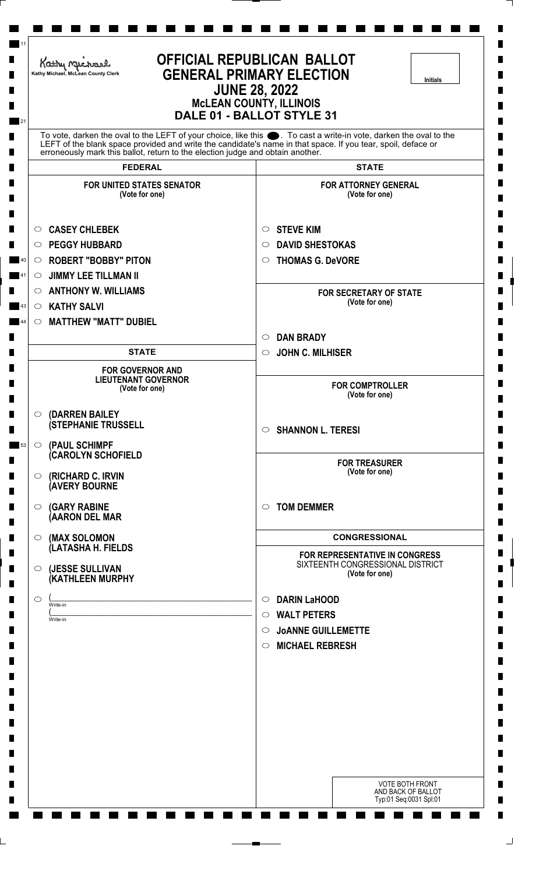| Kathy Michael<br>Kathy Michael, McLean County Clerk                                                                                                    | <b>OFFICIAL REPUBLICAN BALLOT</b><br><b>GENERAL PRIMARY ELECTION</b><br><b>Initials</b><br><b>JUNE 28, 2022</b><br><b>McLEAN COUNTY, ILLINOIS</b><br>DALE 01 - BALLOT STYLE 31                                                    |
|--------------------------------------------------------------------------------------------------------------------------------------------------------|-----------------------------------------------------------------------------------------------------------------------------------------------------------------------------------------------------------------------------------|
| erroneously mark this ballot, return to the election judge and obtain another.                                                                         | To vote, darken the oval to the LEFT of your choice, like this ●. To cast a write-in vote, darken the oval to the<br>LEFT of the blank space provided and write the candidate's name in that space. If you tear, spoil, deface or |
| <b>FEDERAL</b>                                                                                                                                         | <b>STATE</b>                                                                                                                                                                                                                      |
| <b>FOR UNITED STATES SENATOR</b><br>(Vote for one)                                                                                                     | <b>FOR ATTORNEY GENERAL</b><br>(Vote for one)                                                                                                                                                                                     |
| <b>CASEY CHLEBEK</b><br>$\circ$<br><b>PEGGY HUBBARD</b><br>$\circ$<br><b>ROBERT "BOBBY" PITON</b><br>$\circ$<br><b>JIMMY LEE TILLMAN II</b><br>$\circ$ | <b>STEVE KIM</b><br>$\circ$<br><b>DAVID SHESTOKAS</b><br>$\circ$<br><b>THOMAS G. DeVORE</b><br>$\circ$                                                                                                                            |
| <b>ANTHONY W. WILLIAMS</b><br>$\circ$<br><b>KATHY SALVI</b><br>$\circ$                                                                                 | <b>FOR SECRETARY OF STATE</b><br>(Vote for one)                                                                                                                                                                                   |
| <b>MATTHEW "MATT" DUBIEL</b><br>$\circ$                                                                                                                | <b>DAN BRADY</b><br>$\circ$                                                                                                                                                                                                       |
| <b>STATE</b>                                                                                                                                           | <b>JOHN C. MILHISER</b><br>$\circ$                                                                                                                                                                                                |
| <b>FOR GOVERNOR AND</b><br><b>LIEUTENANT GOVERNOR</b><br>(Vote for one)                                                                                | <b>FOR COMPTROLLER</b><br>(Vote for one)                                                                                                                                                                                          |
| (DARREN BAILEY<br>$\circ$<br><b>(STEPHANIE TRUSSELL</b>                                                                                                | <b>SHANNON L. TERESI</b><br>$\circ$                                                                                                                                                                                               |
| (PAUL SCHIMPF<br>$\circ$<br><b>CAROLYN SCHOFIELD</b><br>(RICHARD C. IRVIN<br>$\circ$                                                                   | <b>FOR TREASURER</b><br>(Vote for one)                                                                                                                                                                                            |
| <b>(AVERY BOURNE</b><br><b>(GARY RABINE</b><br>$\circ$<br>(AARON DEL MAR                                                                               | <b>TOM DEMMER</b><br>$\circ$                                                                                                                                                                                                      |
| (MAX SOLOMON<br>$\circ$                                                                                                                                | <b>CONGRESSIONAL</b>                                                                                                                                                                                                              |
| (LATASHA H. FIELDS<br>(JESSE SULLIVAN<br>$\circ$<br>(KATHLEEN MURPHY                                                                                   | FOR REPRESENTATIVE IN CONGRESS<br>SIXTEENTH CONGRESSIONAL DISTRICT<br>(Vote for one)                                                                                                                                              |
| $\circ$<br>Write-in<br>Write-in                                                                                                                        | <b>DARIN LaHOOD</b><br>$\circ$<br><b>WALT PETERS</b><br>$\circ$<br><b>JOANNE GUILLEMETTE</b><br>$\circ$<br><b>MICHAEL REBRESH</b><br>$\circ$                                                                                      |
|                                                                                                                                                        |                                                                                                                                                                                                                                   |
|                                                                                                                                                        | <b>VOTE BOTH FRONT</b><br>AND BACK OF BALLOT<br>Typ:01 Seq:0031 Spl:01                                                                                                                                                            |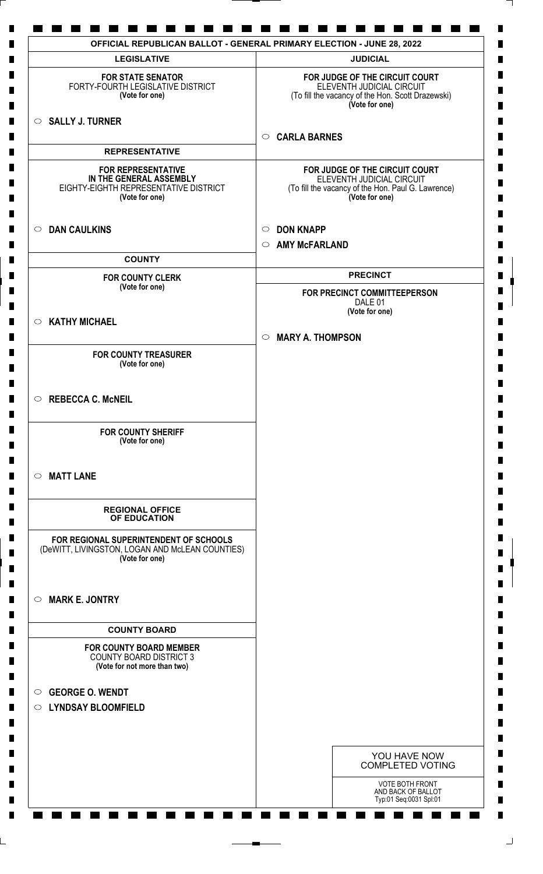| <b>LEGISLATIVE</b>                                                                                              | <b>JUDICIAL</b>                                                                                                                     |
|-----------------------------------------------------------------------------------------------------------------|-------------------------------------------------------------------------------------------------------------------------------------|
| <b>FOR STATE SENATOR</b><br>FORTY-FOURTH LEGISLATIVE DISTRICT<br>(Vote for one)                                 | FOR JUDGE OF THE CIRCUIT COURT<br>ELEVENTH JUDICIAL CIRCUIT<br>(To fill the vacancy of the Hon. Scott Drazewski)<br>(Vote for one)  |
| <b>SALLY J. TURNER</b><br>$\circ$                                                                               | <b>CARLA BARNES</b><br>$\circ$                                                                                                      |
| <b>REPRESENTATIVE</b>                                                                                           |                                                                                                                                     |
| <b>FOR REPRESENTATIVE</b><br>IN THE GENERAL ASSEMBLY<br>EIGHTY-EIGHTH REPRESENTATIVE DISTRICT<br>(Vote for one) | FOR JUDGE OF THE CIRCUIT COURT<br>ELEVENTH JUDICIAL CIRCUIT<br>(To fill the vacancy of the Hon. Paul G. Lawrence)<br>(Vote for one) |
| <b>DAN CAULKINS</b><br>$\circ$                                                                                  | <b>DON KNAPP</b><br>$\circ$<br><b>AMY McFARLAND</b><br>$\circ$                                                                      |
| <b>COUNTY</b>                                                                                                   |                                                                                                                                     |
| <b>FOR COUNTY CLERK</b>                                                                                         | <b>PRECINCT</b>                                                                                                                     |
| (Vote for one)                                                                                                  | FOR PRECINCT COMMITTEEPERSON<br>DALE 01<br>(Vote for one)                                                                           |
| <b>KATHY MICHAEL</b><br>$\circ$                                                                                 |                                                                                                                                     |
|                                                                                                                 | <b>MARY A. THOMPSON</b><br>$\circ$                                                                                                  |
| <b>FOR COUNTY TREASURER</b><br>(Vote for one)                                                                   |                                                                                                                                     |
| <b>REBECCA C. McNEIL</b><br>$\circ$                                                                             |                                                                                                                                     |
| <b>FOR COUNTY SHERIFF</b><br>(Vote for one)                                                                     |                                                                                                                                     |
| <b>MATT LANE</b><br>$\circ$                                                                                     |                                                                                                                                     |
| <b>REGIONAL OFFICE</b><br>OF EDUCATION                                                                          |                                                                                                                                     |
| FOR REGIONAL SUPERINTENDENT OF SCHOOLS<br>(DeWITT, LIVINGSTON, LOGAN AND McLEAN COUNTIES)<br>(Vote for one)     |                                                                                                                                     |
| <b>MARK E. JONTRY</b><br>$\circ$                                                                                |                                                                                                                                     |
| <b>COUNTY BOARD</b>                                                                                             |                                                                                                                                     |
| <b>FOR COUNTY BOARD MEMBER</b><br><b>COUNTY BOARD DISTRICT 3</b><br>(Vote for not more than two)                |                                                                                                                                     |
| <b>GEORGE O. WENDT</b><br>$\circ$                                                                               |                                                                                                                                     |
| O LYNDSAY BLOOMFIELD                                                                                            |                                                                                                                                     |
|                                                                                                                 |                                                                                                                                     |
|                                                                                                                 | YOU HAVE NOW<br><b>COMPLETED VOTING</b>                                                                                             |
|                                                                                                                 | VOTE BOTH FRONT<br>AND BACK OF BALLOT<br>Typ:01 Seq:0031 Spl:01                                                                     |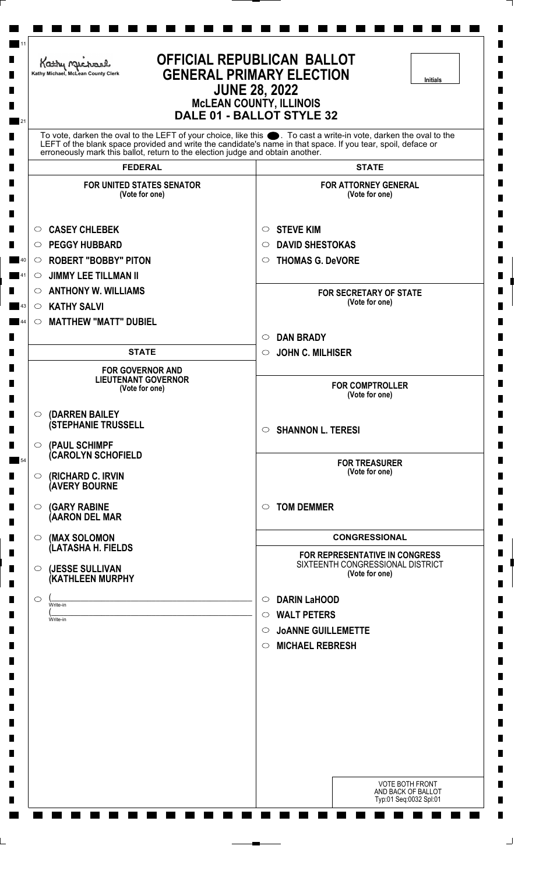| Kathy Michael<br>Kathy Michael, McLean County Clerk                                                                                                    | <b>OFFICIAL REPUBLICAN BALLOT</b><br><b>GENERAL PRIMARY ELECTION</b><br><b>Initials</b><br><b>JUNE 28, 2022</b><br><b>MCLEAN COUNTY, ILLINOIS</b><br>DALE 01 - BALLOT STYLE 32                                                    |
|--------------------------------------------------------------------------------------------------------------------------------------------------------|-----------------------------------------------------------------------------------------------------------------------------------------------------------------------------------------------------------------------------------|
| erroneously mark this ballot, return to the election judge and obtain another.                                                                         | To vote, darken the oval to the LEFT of your choice, like this ●. To cast a write-in vote, darken the oval to the<br>LEFT of the blank space provided and write the candidate's name in that space. If you tear, spoil, deface or |
| <b>FEDERAL</b>                                                                                                                                         | <b>STATE</b>                                                                                                                                                                                                                      |
| <b>FOR UNITED STATES SENATOR</b><br>(Vote for one)                                                                                                     | <b>FOR ATTORNEY GENERAL</b><br>(Vote for one)                                                                                                                                                                                     |
| <b>CASEY CHLEBEK</b><br>$\circ$<br><b>PEGGY HUBBARD</b><br>$\circ$<br><b>ROBERT "BOBBY" PITON</b><br>$\circ$<br><b>JIMMY LEE TILLMAN II</b><br>$\circ$ | <b>STEVE KIM</b><br>$\circ$<br><b>DAVID SHESTOKAS</b><br>$\circ$<br><b>THOMAS G. DeVORE</b><br>$\circ$                                                                                                                            |
| <b>ANTHONY W. WILLIAMS</b><br>$\circ$<br><b>KATHY SALVI</b><br>$\circ$                                                                                 | <b>FOR SECRETARY OF STATE</b><br>(Vote for one)                                                                                                                                                                                   |
| <b>MATTHEW "MATT" DUBIEL</b><br>$\circ$                                                                                                                | <b>DAN BRADY</b><br>$\circ$                                                                                                                                                                                                       |
| <b>STATE</b>                                                                                                                                           | <b>JOHN C. MILHISER</b><br>$\circ$                                                                                                                                                                                                |
| <b>FOR GOVERNOR AND</b><br><b>LIEUTENANT GOVERNOR</b><br>(Vote for one)                                                                                | <b>FOR COMPTROLLER</b><br>(Vote for one)                                                                                                                                                                                          |
| (DARREN BAILEY<br>$\circ$<br><b>(STEPHANIE TRUSSELL</b>                                                                                                | <b>SHANNON L. TERESI</b><br>$\circ$                                                                                                                                                                                               |
| (PAUL SCHIMPF<br>$\circ$<br><b>CAROLYN SCHOFIELD</b><br>(RICHARD C. IRVIN<br>$\circ$                                                                   | <b>FOR TREASURER</b><br>(Vote for one)                                                                                                                                                                                            |
| <b>(AVERY BOURNE</b><br><b>(GARY RABINE</b><br>$\circ$<br>(AARON DEL MAR                                                                               | <b>TOM DEMMER</b><br>$\circ$                                                                                                                                                                                                      |
| (MAX SOLOMON<br>$\circ$                                                                                                                                | <b>CONGRESSIONAL</b>                                                                                                                                                                                                              |
| (LATASHA H. FIELDS<br>(JESSE SULLIVAN<br>$\circ$<br>(KATHLEEN MURPHY                                                                                   | FOR REPRESENTATIVE IN CONGRESS<br>SIXTEENTH CONGRESSIONAL DISTRICT<br>(Vote for one)                                                                                                                                              |
| $\circ$<br>Write-in<br>Write-in                                                                                                                        | <b>DARIN LaHOOD</b><br>$\circ$<br><b>WALT PETERS</b><br>$\circ$<br><b>JOANNE GUILLEMETTE</b><br>$\circ$<br><b>MICHAEL REBRESH</b><br>$\circ$                                                                                      |
|                                                                                                                                                        |                                                                                                                                                                                                                                   |
|                                                                                                                                                        | <b>VOTE BOTH FRONT</b><br>AND BACK OF BALLOT<br>Typ:01 Seq:0032 Spl:01                                                                                                                                                            |